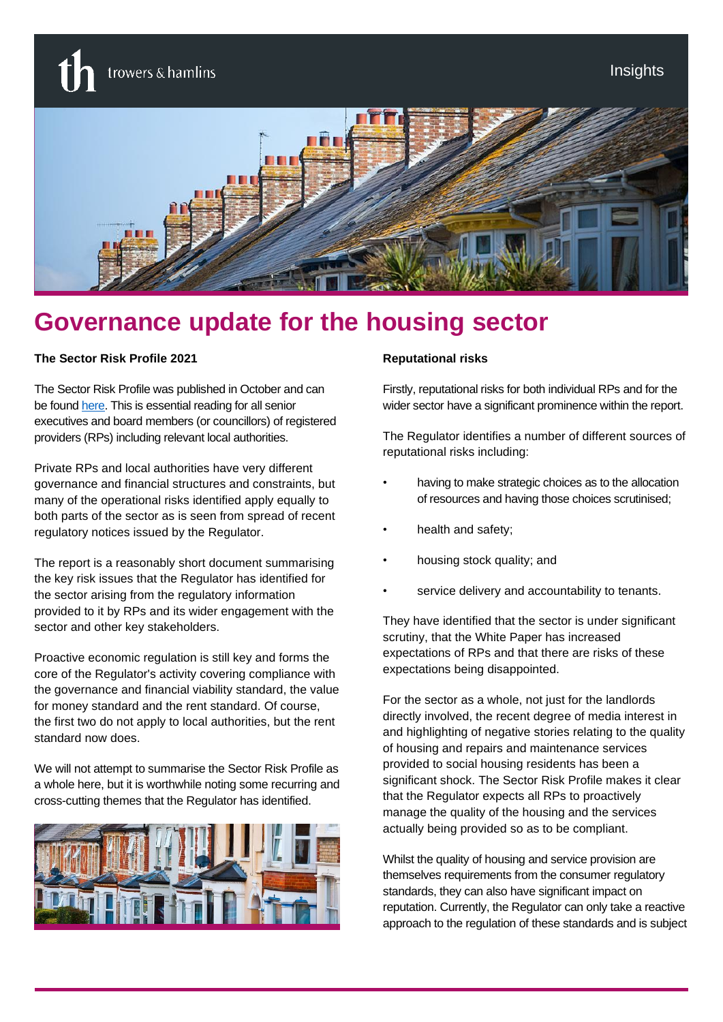trowers & hamlins



# **Governance update for the housing sector**

#### **The Sector Risk Profile 2021**

The Sector Risk Profile was published in October and can be foun[d here.](https://www.gov.uk/government/publications/sector-risk-profile-2021) This is essential reading for all senior executives and board members (or councillors) of registered providers (RPs) including relevant local authorities.

Private RPs and local authorities have very different governance and financial structures and constraints, but many of the operational risks identified apply equally to both parts of the sector as is seen from spread of recent regulatory notices issued by the Regulator.

The report is a reasonably short document summarising the key risk issues that the Regulator has identified for the sector arising from the regulatory information provided to it by RPs and its wider engagement with the sector and other key stakeholders.

Proactive economic regulation is still key and forms the core of the Regulator's activity covering compliance with the governance and financial viability standard, the value for money standard and the rent standard. Of course, the first two do not apply to local authorities, but the rent standard now does.

We will not attempt to summarise the Sector Risk Profile as a whole here, but it is worthwhile noting some recurring and cross-cutting themes that the Regulator has identified.



#### **Reputational risks**

Firstly, reputational risks for both individual RPs and for the wider sector have a significant prominence within the report.

The Regulator identifies a number of different sources of reputational risks including:

- having to make strategic choices as to the allocation of resources and having those choices scrutinised;
- health and safety;
- housing stock quality; and
- service delivery and accountability to tenants.

They have identified that the sector is under significant scrutiny, that the White Paper has increased expectations of RPs and that there are risks of these expectations being disappointed.

For the sector as a whole, not just for the landlords directly involved, the recent degree of media interest in and highlighting of negative stories relating to the quality of housing and repairs and maintenance services provided to social housing residents has been a significant shock. The Sector Risk Profile makes it clear that the Regulator expects all RPs to proactively manage the quality of the housing and the services actually being provided so as to be compliant.

Whilst the quality of housing and service provision are themselves requirements from the consumer regulatory standards, they can also have significant impact on reputation. Currently, the Regulator can only take a reactive approach to the regulation of these standards and is subject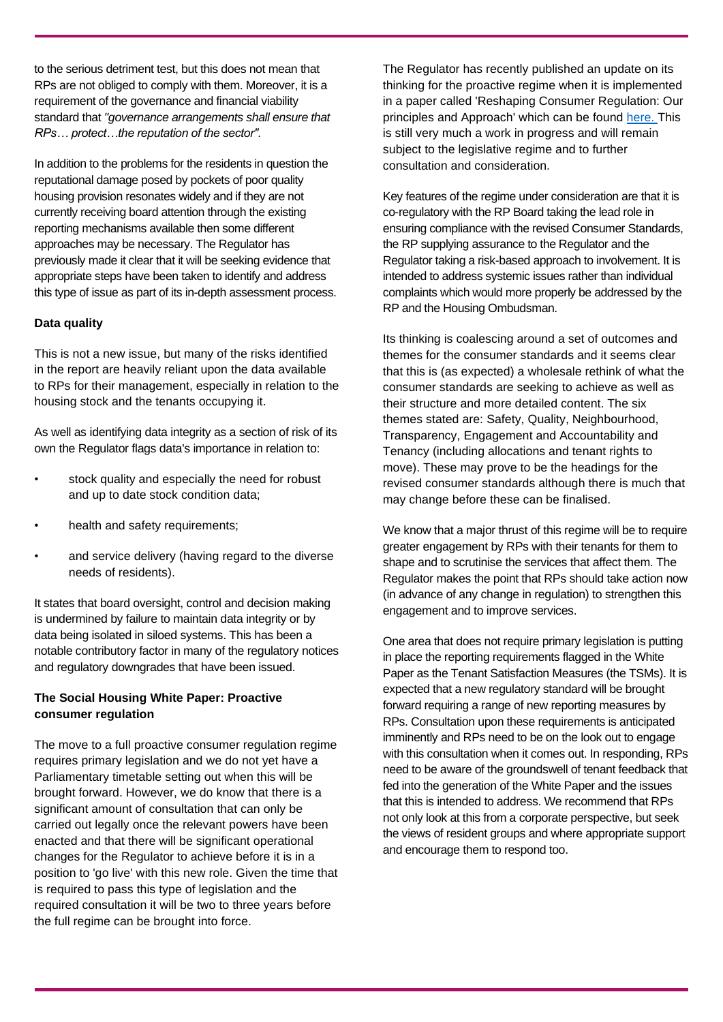to the serious detriment test, but this does not mean that RPs are not obliged to comply with them. Moreover, it is a requirement of the governance and financial viability standard that *"governance arrangements shall ensure that RPs… protect…the reputation of the sector".* 

In addition to the problems for the residents in question the reputational damage posed by pockets of poor quality housing provision resonates widely and if they are not currently receiving board attention through the existing reporting mechanisms available then some different approaches may be necessary. The Regulator has previously made it clear that it will be seeking evidence that appropriate steps have been taken to identify and address this type of issue as part of its in-depth assessment process.

#### **Data quality**

This is not a new issue, but many of the risks identified in the report are heavily reliant upon the data available to RPs for their management, especially in relation to the housing stock and the tenants occupying it.

As well as identifying data integrity as a section of risk of its own the Regulator flags data's importance in relation to:

- stock quality and especially the need for robust and up to date stock condition data;
- health and safety requirements:
- and service delivery (having regard to the diverse needs of residents).

It states that board oversight, control and decision making is undermined by failure to maintain data integrity or by data being isolated in siloed systems. This has been a notable contributory factor in many of the regulatory notices and regulatory downgrades that have been issued.

#### **The Social Housing White Paper: Proactive consumer regulation**

The move to a full proactive consumer regulation regime requires primary legislation and we do not yet have a Parliamentary timetable setting out when this will be brought forward. However, we do know that there is a significant amount of consultation that can only be carried out legally once the relevant powers have been enacted and that there will be significant operational changes for the Regulator to achieve before it is in a position to 'go live' with this new role. Given the time that is required to pass this type of legislation and the required consultation it will be two to three years before the full regime can be brought into force.

The Regulator has recently published an update on its thinking for the proactive regime when it is implemented in a paper called 'Reshaping Consumer Regulation: Our principles and Approach' which can be found [here.](https://www.gov.uk/government/publications/reshaping-consumer-regulation-our-principles-and-approachhttps:/www.gov.uk/government/publications/reshaping-consumer-regulation-our-principles-and-approach) This is still very much a work in progress and will remain subject to the legislative regime and to further consultation and consideration.

Key features of the regime under consideration are that it is co-regulatory with the RP Board taking the lead role in ensuring compliance with the revised Consumer Standards, the RP supplying assurance to the Regulator and the Regulator taking a risk-based approach to involvement. It is intended to address systemic issues rather than individual complaints which would more properly be addressed by the RP and the Housing Ombudsman.

Its thinking is coalescing around a set of outcomes and themes for the consumer standards and it seems clear that this is (as expected) a wholesale rethink of what the consumer standards are seeking to achieve as well as their structure and more detailed content. The six themes stated are: Safety, Quality, Neighbourhood, Transparency, Engagement and Accountability and Tenancy (including allocations and tenant rights to move). These may prove to be the headings for the revised consumer standards although there is much that may change before these can be finalised.

We know that a major thrust of this regime will be to require greater engagement by RPs with their tenants for them to shape and to scrutinise the services that affect them. The Regulator makes the point that RPs should take action now (in advance of any change in regulation) to strengthen this engagement and to improve services.

One area that does not require primary legislation is putting in place the reporting requirements flagged in the White Paper as the Tenant Satisfaction Measures (the TSMs). It is expected that a new regulatory standard will be brought forward requiring a range of new reporting measures by RPs. Consultation upon these requirements is anticipated imminently and RPs need to be on the look out to engage with this consultation when it comes out. In responding, RPs need to be aware of the groundswell of tenant feedback that fed into the generation of the White Paper and the issues that this is intended to address. We recommend that RPs not only look at this from a corporate perspective, but seek the views of resident groups and where appropriate support and encourage them to respond too.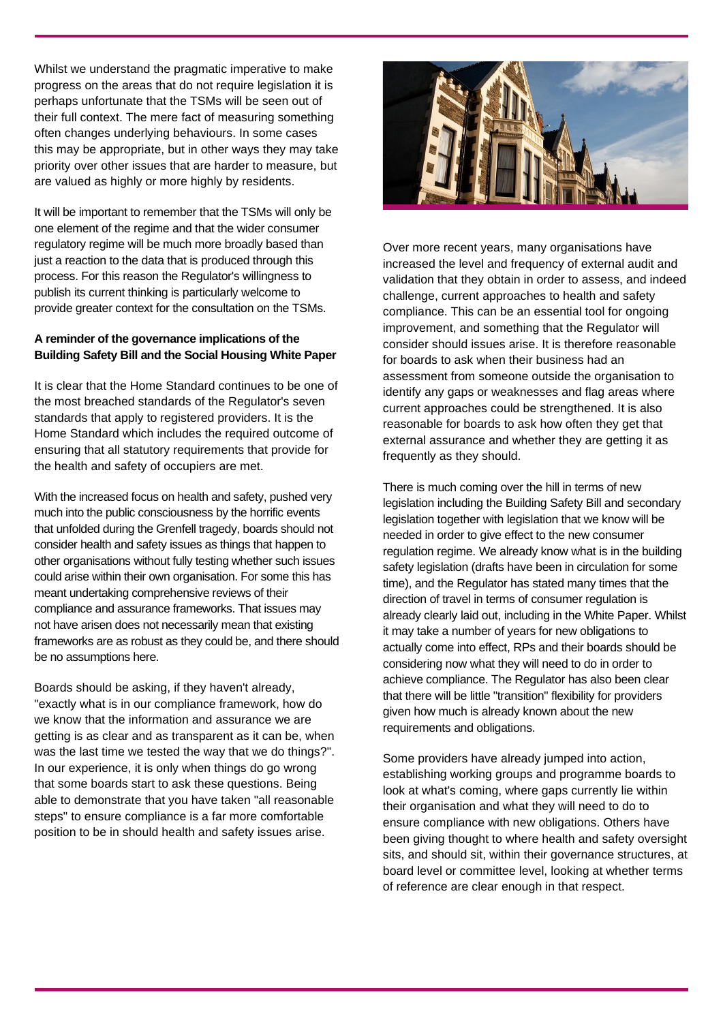Whilst we understand the pragmatic imperative to make progress on the areas that do not require legislation it is perhaps unfortunate that the TSMs will be seen out of their full context. The mere fact of measuring something often changes underlying behaviours. In some cases this may be appropriate, but in other ways they may take priority over other issues that are harder to measure, but are valued as highly or more highly by residents.

It will be important to remember that the TSMs will only be one element of the regime and that the wider consumer regulatory regime will be much more broadly based than just a reaction to the data that is produced through this process. For this reason the Regulator's willingness to publish its current thinking is particularly welcome to provide greater context for the consultation on the TSMs.

#### **A reminder of the governance implications of the Building Safety Bill and the Social Housing White Paper**

It is clear that the Home Standard continues to be one of the most breached standards of the Regulator's seven standards that apply to registered providers. It is the Home Standard which includes the required outcome of ensuring that all statutory requirements that provide for the health and safety of occupiers are met.

With the increased focus on health and safety, pushed very much into the public consciousness by the horrific events that unfolded during the Grenfell tragedy, boards should not consider health and safety issues as things that happen to other organisations without fully testing whether such issues could arise within their own organisation. For some this has meant undertaking comprehensive reviews of their compliance and assurance frameworks. That issues may not have arisen does not necessarily mean that existing frameworks are as robust as they could be, and there should be no assumptions here.

Boards should be asking, if they haven't already, "exactly what is in our compliance framework, how do we know that the information and assurance we are getting is as clear and as transparent as it can be, when was the last time we tested the way that we do things?". In our experience, it is only when things do go wrong that some boards start to ask these questions. Being able to demonstrate that you have taken "all reasonable steps" to ensure compliance is a far more comfortable position to be in should health and safety issues arise.



Over more recent years, many organisations have increased the level and frequency of external audit and validation that they obtain in order to assess, and indeed challenge, current approaches to health and safety compliance. This can be an essential tool for ongoing improvement, and something that the Regulator will consider should issues arise. It is therefore reasonable for boards to ask when their business had an assessment from someone outside the organisation to identify any gaps or weaknesses and flag areas where current approaches could be strengthened. It is also reasonable for boards to ask how often they get that external assurance and whether they are getting it as frequently as they should.

There is much coming over the hill in terms of new legislation including the Building Safety Bill and secondary legislation together with legislation that we know will be needed in order to give effect to the new consumer regulation regime. We already know what is in the building safety legislation (drafts have been in circulation for some time), and the Regulator has stated many times that the direction of travel in terms of consumer regulation is already clearly laid out, including in the White Paper. Whilst it may take a number of years for new obligations to actually come into effect, RPs and their boards should be considering now what they will need to do in order to achieve compliance. The Regulator has also been clear that there will be little "transition" flexibility for providers given how much is already known about the new requirements and obligations.

Some providers have already jumped into action, establishing working groups and programme boards to look at what's coming, where gaps currently lie within their organisation and what they will need to do to ensure compliance with new obligations. Others have been giving thought to where health and safety oversight sits, and should sit, within their governance structures, at board level or committee level, looking at whether terms of reference are clear enough in that respect.